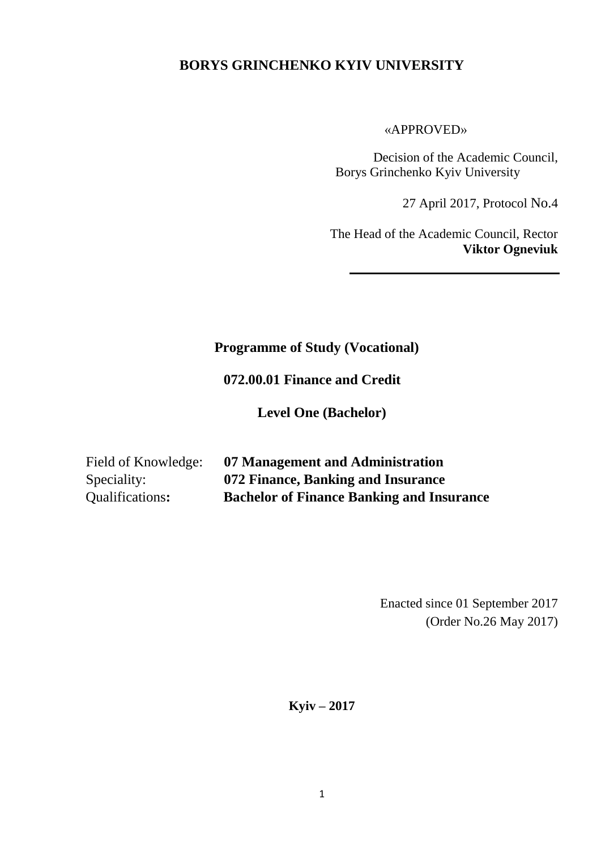#### **BORYS GRINCHENKO KYIV UNIVERSITY**

«APPROVED»

Decision of the Academic Council, Borys Grinchenko Kyiv University

27 April 2017, Protocol No.4

The Head of the Academic Council, Rector **Viktor Ogneviuk**

#### **Programme of Study (Vocational)**

 **072.00.01 Finance and Credit**

**Level One (Bachelor)**

| Field of Knowledge: | 07 Management and Administration                 |
|---------------------|--------------------------------------------------|
| Speciality:         | 072 Finance, Banking and Insurance               |
| Qualifications:     | <b>Bachelor of Finance Banking and Insurance</b> |

Enacted since 01 September 2017 (Order No.26 May 2017)

**Kyiv – 2017**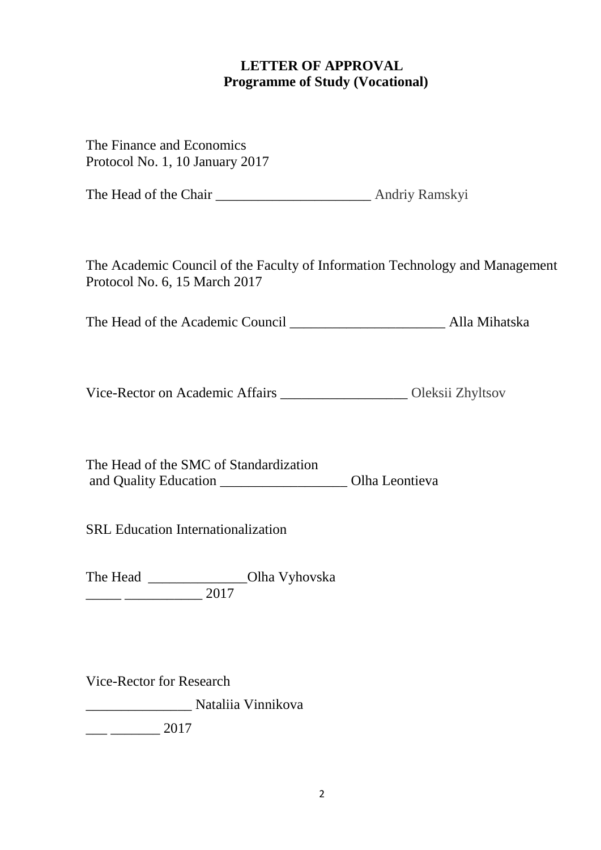### **LETTER OF APPROVAL Programme of Study (Vocational)**

The Finance and Economics Protocol No. 1, 10 January 2017 The Head of the Chair \_\_\_\_\_\_\_\_\_\_\_\_\_\_\_\_\_\_\_\_\_\_ Andriy Ramskyi The Academic Council of the Faculty of Information Technology and Management Protocol No. 6, 15 March 2017 The Head of the Academic Council **Alla Mihatska** Vice-Rector on Academic Affairs \_\_\_\_\_\_\_\_\_\_\_\_\_\_\_\_\_\_ Oleksii Zhyltsov

The Head of the SMC of Standardization and Quality Education \_\_\_\_\_\_\_\_\_\_\_\_\_\_\_\_\_\_ Olha Leontieva

SRL Education Internationalization

The Head \_\_\_\_\_\_\_\_\_\_\_\_\_\_\_\_\_Olha Vyhovska \_\_\_\_\_ \_\_\_\_\_\_\_\_\_\_\_ 2017

Vice-Rector for Research

\_\_\_\_\_\_\_\_\_\_\_\_\_\_\_ Nataliia Vinnikova

 $\frac{2017}{2017}$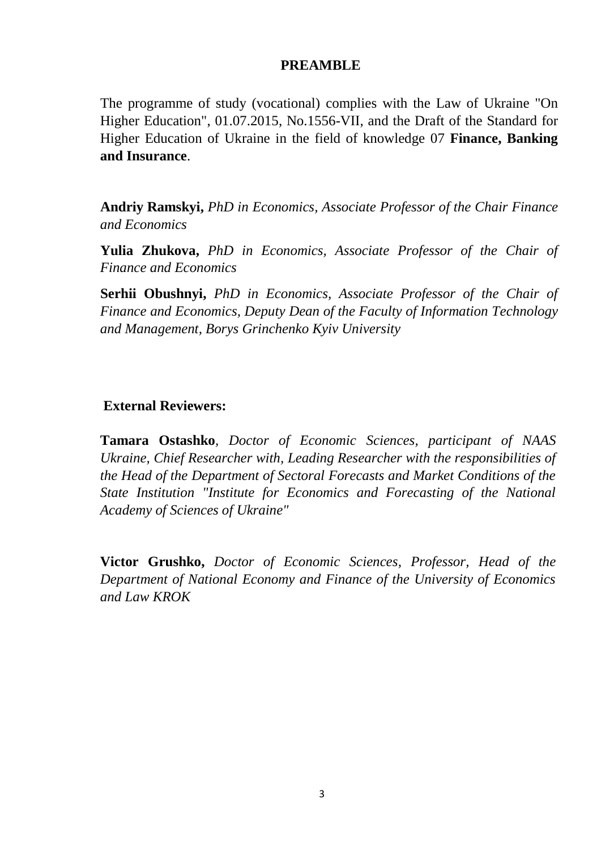#### **PREAMBLE**

The programme of study (vocational) complies with the Law of Ukraine "On Higher Education", 01.07.2015, No.1556-VІІ, and the Draft of the Standard for Higher Education of Ukraine in the field of knowledge 07 **Finance, Banking and Insurance**.

**Andriy Ramskyi,** *PhD in Economics, Associate Professor of the Chair Finance and Economics*

**Yulia Zhukova,** *PhD in Economics, Associate Professor of the Chair of Finance and Economics*

**Serhii Obushnyi,** *PhD in Economics, Associate Professor of the Chair of Finance and Economics, Deputy Dean of the Faculty of Information Technology and Management, Borys Grinchenko Kyiv University*

#### **External Reviewers:**

**Tamara Ostashko***, Doctor of Economic Sciences, participant of NAAS Ukraine, Chief Researcher with, Leading Researcher with the responsibilities of the Head of the Department of Sectoral Forecasts and Market Conditions of the State Institution "Institute for Economics and Forecasting of the National Academy of Sciences of Ukraine"*

**Victor Grushko,** *Doctor of Economic Sciences, Professor, Head of the Department of National Economy and Finance of the University of Economics and Law KROK*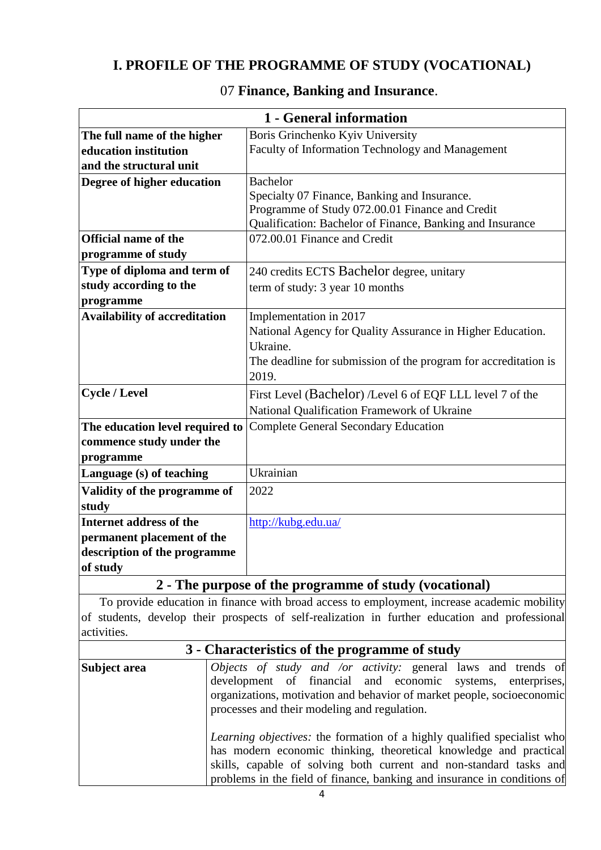### **I. PROFILE OF THE PROGRAMME OF STUDY (VOCATIONAL)**

|                                                                     | 1 - General information                                         |  |  |  |
|---------------------------------------------------------------------|-----------------------------------------------------------------|--|--|--|
| The full name of the higher                                         | Boris Grinchenko Kyiv University                                |  |  |  |
| education institution                                               | Faculty of Information Technology and Management                |  |  |  |
| and the structural unit                                             |                                                                 |  |  |  |
| Degree of higher education                                          | <b>Bachelor</b>                                                 |  |  |  |
|                                                                     | Specialty 07 Finance, Banking and Insurance.                    |  |  |  |
|                                                                     | Programme of Study 072.00.01 Finance and Credit                 |  |  |  |
|                                                                     | Qualification: Bachelor of Finance, Banking and Insurance       |  |  |  |
| <b>Official name of the</b>                                         | 072.00.01 Finance and Credit                                    |  |  |  |
| programme of study                                                  |                                                                 |  |  |  |
| Type of diploma and term of                                         | 240 credits ECTS Bachelor degree, unitary                       |  |  |  |
| study according to the                                              | term of study: 3 year 10 months                                 |  |  |  |
| programme                                                           |                                                                 |  |  |  |
| <b>Availability of accreditation</b>                                | Implementation in 2017                                          |  |  |  |
|                                                                     | National Agency for Quality Assurance in Higher Education.      |  |  |  |
|                                                                     | Ukraine.                                                        |  |  |  |
|                                                                     | The deadline for submission of the program for accreditation is |  |  |  |
|                                                                     | 2019.                                                           |  |  |  |
| <b>Cycle / Level</b>                                                | First Level (Bachelor) /Level 6 of EQF LLL level 7 of the       |  |  |  |
|                                                                     | National Qualification Framework of Ukraine                     |  |  |  |
| The education level required to                                     | Complete General Secondary Education                            |  |  |  |
| commence study under the                                            |                                                                 |  |  |  |
| programme                                                           |                                                                 |  |  |  |
| Language (s) of teaching                                            | Ukrainian                                                       |  |  |  |
| Validity of the programme of                                        | 2022                                                            |  |  |  |
| study                                                               |                                                                 |  |  |  |
| Internet address of the                                             | http://kubg.edu.ua/                                             |  |  |  |
| permanent placement of the                                          |                                                                 |  |  |  |
| description of the programme                                        |                                                                 |  |  |  |
| of study                                                            |                                                                 |  |  |  |
| $\mathcal{P}$<br>The nurness of the programme of study (vecational) |                                                                 |  |  |  |

### 07 **Finance, Banking and Insurance**.

#### **2 - The purpose of the programme of study (vocational)**

 To provide education in finance with broad access to employment, increase academic mobility of students, develop their prospects of self-realization in further education and professional activities.

| 3 - Characteristics of the programme of study |                                                                                                                                                                                                                                                                                                       |  |  |  |  |
|-----------------------------------------------|-------------------------------------------------------------------------------------------------------------------------------------------------------------------------------------------------------------------------------------------------------------------------------------------------------|--|--|--|--|
| Subject area                                  | <i>Objects of study and /or activity:</i> general laws and trends of<br>development of financial and economic systems, enterprises,<br>organizations, motivation and behavior of market people, socioeconomic<br>processes and their modeling and regulation.                                         |  |  |  |  |
|                                               | <i>Learning objectives:</i> the formation of a highly qualified specialist who<br>has modern economic thinking, theoretical knowledge and practical<br>skills, capable of solving both current and non-standard tasks and<br>problems in the field of finance, banking and insurance in conditions of |  |  |  |  |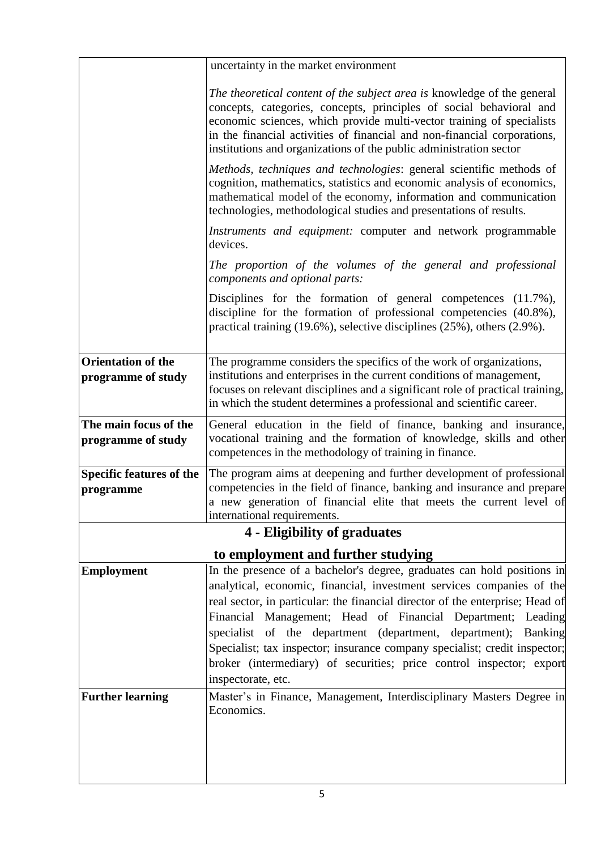|                                                 | uncertainty in the market environment                                                                                                                                                                                                                                                                                                                                                                                                                                                                                                                    |  |  |  |
|-------------------------------------------------|----------------------------------------------------------------------------------------------------------------------------------------------------------------------------------------------------------------------------------------------------------------------------------------------------------------------------------------------------------------------------------------------------------------------------------------------------------------------------------------------------------------------------------------------------------|--|--|--|
|                                                 | The theoretical content of the subject area is knowledge of the general<br>concepts, categories, concepts, principles of social behavioral and<br>economic sciences, which provide multi-vector training of specialists<br>in the financial activities of financial and non-financial corporations,<br>institutions and organizations of the public administration sector                                                                                                                                                                                |  |  |  |
|                                                 | Methods, techniques and technologies: general scientific methods of<br>cognition, mathematics, statistics and economic analysis of economics,<br>mathematical model of the economy, information and communication<br>technologies, methodological studies and presentations of results.                                                                                                                                                                                                                                                                  |  |  |  |
|                                                 | Instruments and equipment: computer and network programmable<br>devices.                                                                                                                                                                                                                                                                                                                                                                                                                                                                                 |  |  |  |
|                                                 | The proportion of the volumes of the general and professional<br>components and optional parts:                                                                                                                                                                                                                                                                                                                                                                                                                                                          |  |  |  |
|                                                 | Disciplines for the formation of general competences (11.7%),<br>discipline for the formation of professional competencies (40.8%),<br>practical training $(19.6\%)$ , selective disciplines $(25\%)$ , others $(2.9\%)$ .                                                                                                                                                                                                                                                                                                                               |  |  |  |
| <b>Orientation of the</b><br>programme of study | The programme considers the specifics of the work of organizations,<br>institutions and enterprises in the current conditions of management,<br>focuses on relevant disciplines and a significant role of practical training,<br>in which the student determines a professional and scientific career.                                                                                                                                                                                                                                                   |  |  |  |
| The main focus of the<br>programme of study     | General education in the field of finance, banking and insurance,<br>vocational training and the formation of knowledge, skills and other<br>competences in the methodology of training in finance.                                                                                                                                                                                                                                                                                                                                                      |  |  |  |
| <b>Specific features of the</b><br>programme    | The program aims at deepening and further development of professional<br>competencies in the field of finance, banking and insurance and prepare<br>a new generation of financial elite that meets the current level of<br>international requirements.                                                                                                                                                                                                                                                                                                   |  |  |  |
|                                                 | 4 - Eligibility of graduates                                                                                                                                                                                                                                                                                                                                                                                                                                                                                                                             |  |  |  |
|                                                 | to employment and further studying                                                                                                                                                                                                                                                                                                                                                                                                                                                                                                                       |  |  |  |
| <b>Employment</b>                               | In the presence of a bachelor's degree, graduates can hold positions in<br>analytical, economic, financial, investment services companies of the<br>real sector, in particular: the financial director of the enterprise; Head of<br>Financial Management; Head of Financial Department; Leading<br>specialist of the department (department, department);<br><b>Banking</b><br>Specialist; tax inspector; insurance company specialist; credit inspector;<br>broker (intermediary) of securities; price control inspector; export<br>inspectorate, etc. |  |  |  |
| <b>Further learning</b>                         | Master's in Finance, Management, Interdisciplinary Masters Degree in<br>Economics.                                                                                                                                                                                                                                                                                                                                                                                                                                                                       |  |  |  |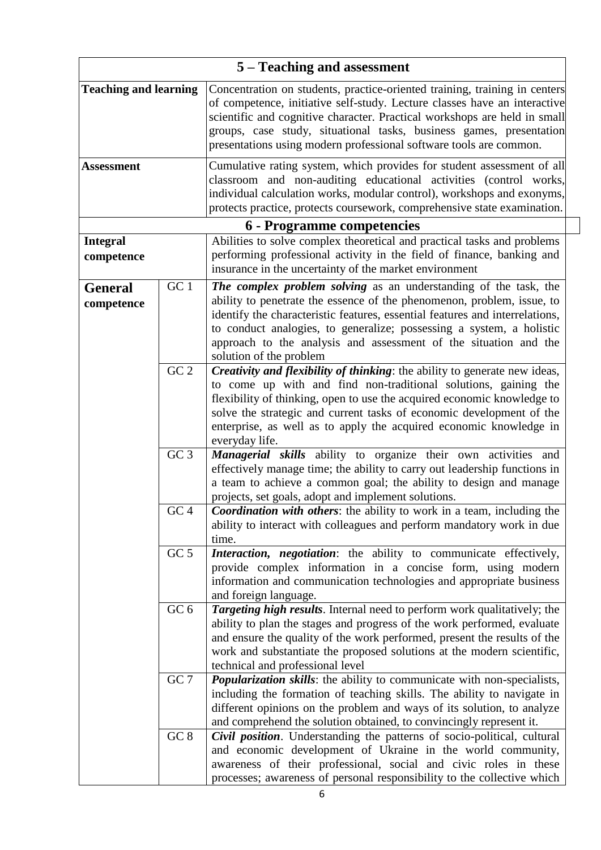|                                                                      | 5 – Teaching and assessment |                                                                                                                                                                                                                                                                                                                                                                                                   |  |  |
|----------------------------------------------------------------------|-----------------------------|---------------------------------------------------------------------------------------------------------------------------------------------------------------------------------------------------------------------------------------------------------------------------------------------------------------------------------------------------------------------------------------------------|--|--|
| <b>Teaching and learning</b>                                         |                             | Concentration on students, practice-oriented training, training in centers<br>of competence, initiative self-study. Lecture classes have an interactive<br>scientific and cognitive character. Practical workshops are held in small<br>groups, case study, situational tasks, business games, presentation<br>presentations using modern professional software tools are common.                 |  |  |
| <b>Assessment</b>                                                    |                             | Cumulative rating system, which provides for student assessment of all<br>classroom and non-auditing educational activities (control works,<br>individual calculation works, modular control), workshops and exonyms,<br>protects practice, protects coursework, comprehensive state examination.                                                                                                 |  |  |
|                                                                      |                             | 6 - Programme competencies                                                                                                                                                                                                                                                                                                                                                                        |  |  |
| <b>Integral</b><br>competence                                        |                             | Abilities to solve complex theoretical and practical tasks and problems<br>performing professional activity in the field of finance, banking and<br>insurance in the uncertainty of the market environment                                                                                                                                                                                        |  |  |
| $\overline{G}C$ 1<br><b>General</b><br>competence<br>GC <sub>2</sub> |                             | The complex problem solving as an understanding of the task, the<br>ability to penetrate the essence of the phenomenon, problem, issue, to<br>identify the characteristic features, essential features and interrelations,<br>to conduct analogies, to generalize; possessing a system, a holistic<br>approach to the analysis and assessment of the situation and the<br>solution of the problem |  |  |
|                                                                      |                             | Creativity and flexibility of thinking: the ability to generate new ideas,<br>to come up with and find non-traditional solutions, gaining the<br>flexibility of thinking, open to use the acquired economic knowledge to<br>solve the strategic and current tasks of economic development of the<br>enterprise, as well as to apply the acquired economic knowledge in<br>everyday life.          |  |  |
| GC <sub>3</sub>                                                      |                             | Managerial skills ability to organize their own activities and<br>effectively manage time; the ability to carry out leadership functions in<br>a team to achieve a common goal; the ability to design and manage<br>projects, set goals, adopt and implement solutions.                                                                                                                           |  |  |
| GC <sub>4</sub>                                                      |                             | <b>Coordination with others:</b> the ability to work in a team, including the<br>ability to interact with colleagues and perform mandatory work in due<br>time.                                                                                                                                                                                                                                   |  |  |
| GC <sub>5</sub><br>GC <sub>6</sub>                                   |                             | Interaction, negotiation: the ability to communicate effectively,<br>provide complex information in a concise form, using modern<br>information and communication technologies and appropriate business<br>and foreign language.                                                                                                                                                                  |  |  |
|                                                                      |                             | Targeting high results. Internal need to perform work qualitatively; the<br>ability to plan the stages and progress of the work performed, evaluate<br>and ensure the quality of the work performed, present the results of the<br>work and substantiate the proposed solutions at the modern scientific,<br>technical and professional level                                                     |  |  |
|                                                                      | GC 7                        | Popularization skills: the ability to communicate with non-specialists,<br>including the formation of teaching skills. The ability to navigate in<br>different opinions on the problem and ways of its solution, to analyze<br>and comprehend the solution obtained, to convincingly represent it.                                                                                                |  |  |
| GC 8                                                                 |                             | Civil position. Understanding the patterns of socio-political, cultural<br>and economic development of Ukraine in the world community,<br>awareness of their professional, social and civic roles in these<br>processes; awareness of personal responsibility to the collective which                                                                                                             |  |  |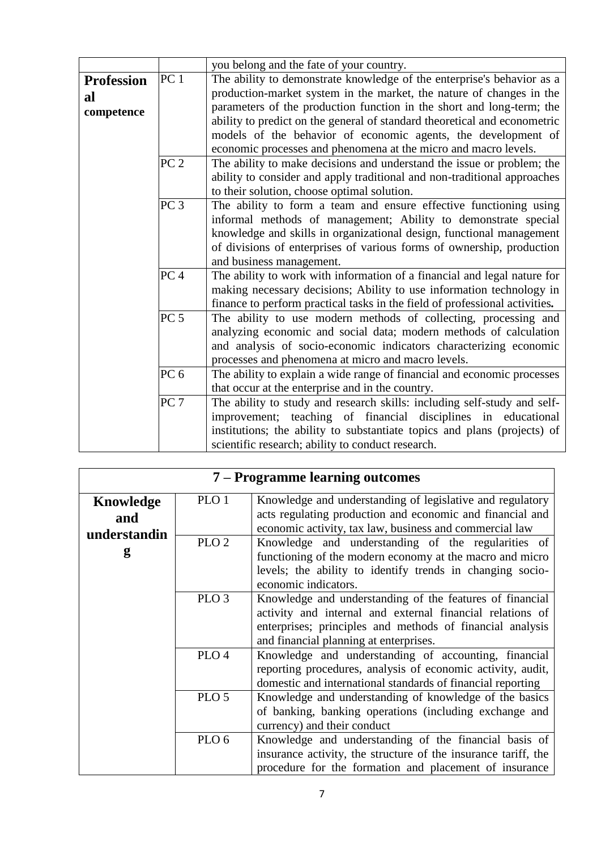|                                       |                 | you belong and the fate of your country.                                                                                                                                                                                                                                                                                                                                                                                                 |  |  |  |  |
|---------------------------------------|-----------------|------------------------------------------------------------------------------------------------------------------------------------------------------------------------------------------------------------------------------------------------------------------------------------------------------------------------------------------------------------------------------------------------------------------------------------------|--|--|--|--|
| <b>Profession</b><br>al<br>competence | PC <sub>1</sub> | The ability to demonstrate knowledge of the enterprise's behavior as a<br>production-market system in the market, the nature of changes in the<br>parameters of the production function in the short and long-term; the<br>ability to predict on the general of standard theoretical and econometric<br>models of the behavior of economic agents, the development of<br>economic processes and phenomena at the micro and macro levels. |  |  |  |  |
|                                       | PC <sub>2</sub> | The ability to make decisions and understand the issue or problem; the<br>ability to consider and apply traditional and non-traditional approaches<br>to their solution, choose optimal solution.                                                                                                                                                                                                                                        |  |  |  |  |
|                                       | PC <sub>3</sub> | The ability to form a team and ensure effective functioning using<br>informal methods of management; Ability to demonstrate special<br>knowledge and skills in organizational design, functional management<br>of divisions of enterprises of various forms of ownership, production<br>and business management.                                                                                                                         |  |  |  |  |
|                                       | PC <sub>4</sub> | The ability to work with information of a financial and legal nature for<br>making necessary decisions; Ability to use information technology in<br>finance to perform practical tasks in the field of professional activities.                                                                                                                                                                                                          |  |  |  |  |
|                                       | PC <sub>5</sub> | The ability to use modern methods of collecting, processing and<br>analyzing economic and social data; modern methods of calculation<br>and analysis of socio-economic indicators characterizing economic<br>processes and phenomena at micro and macro levels.                                                                                                                                                                          |  |  |  |  |
|                                       | PC <sub>6</sub> | The ability to explain a wide range of financial and economic processes<br>that occur at the enterprise and in the country.                                                                                                                                                                                                                                                                                                              |  |  |  |  |
|                                       | PC <sub>7</sub> | The ability to study and research skills: including self-study and self-<br>improvement; teaching of financial disciplines in educational<br>institutions; the ability to substantiate topics and plans (projects) of<br>scientific research; ability to conduct research.                                                                                                                                                               |  |  |  |  |

|                  | 7 – Programme learning outcomes |                                                                                                                      |  |  |  |  |  |  |
|------------------|---------------------------------|----------------------------------------------------------------------------------------------------------------------|--|--|--|--|--|--|
| <b>Knowledge</b> | PLO <sub>1</sub>                | Knowledge and understanding of legislative and regulatory                                                            |  |  |  |  |  |  |
| and              |                                 | acts regulating production and economic and financial and<br>economic activity, tax law, business and commercial law |  |  |  |  |  |  |
| understandin     |                                 |                                                                                                                      |  |  |  |  |  |  |
|                  | PLO <sub>2</sub>                | Knowledge and understanding of the regularities of                                                                   |  |  |  |  |  |  |
| g                |                                 | functioning of the modern economy at the macro and micro                                                             |  |  |  |  |  |  |
|                  |                                 | levels; the ability to identify trends in changing socio-                                                            |  |  |  |  |  |  |
|                  |                                 | economic indicators.                                                                                                 |  |  |  |  |  |  |
|                  | PLO <sub>3</sub>                | Knowledge and understanding of the features of financial                                                             |  |  |  |  |  |  |
|                  |                                 | activity and internal and external financial relations of                                                            |  |  |  |  |  |  |
|                  |                                 | enterprises; principles and methods of financial analysis                                                            |  |  |  |  |  |  |
|                  |                                 | and financial planning at enterprises.                                                                               |  |  |  |  |  |  |
|                  | PLO <sub>4</sub>                | Knowledge and understanding of accounting, financial                                                                 |  |  |  |  |  |  |
|                  |                                 | reporting procedures, analysis of economic activity, audit,                                                          |  |  |  |  |  |  |
|                  |                                 | domestic and international standards of financial reporting                                                          |  |  |  |  |  |  |
|                  | PLO <sub>5</sub>                | Knowledge and understanding of knowledge of the basics                                                               |  |  |  |  |  |  |
|                  |                                 | of banking, banking operations (including exchange and                                                               |  |  |  |  |  |  |
|                  |                                 | currency) and their conduct                                                                                          |  |  |  |  |  |  |
|                  | PLO <sub>6</sub>                | Knowledge and understanding of the financial basis of                                                                |  |  |  |  |  |  |
|                  |                                 | insurance activity, the structure of the insurance tariff, the                                                       |  |  |  |  |  |  |
|                  |                                 | procedure for the formation and placement of insurance                                                               |  |  |  |  |  |  |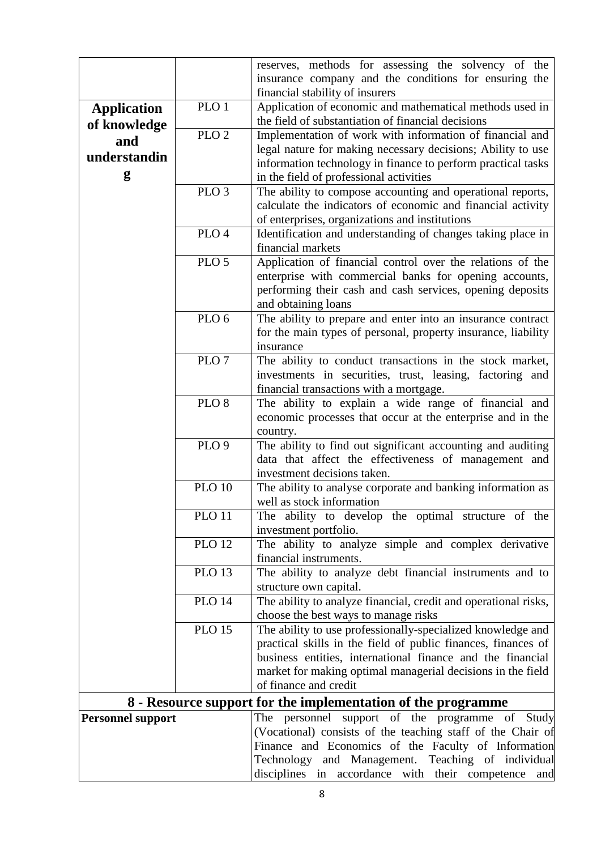|                          |                                                              | reserves, methods for assessing the solvency of the                                                                         |  |  |  |  |  |  |
|--------------------------|--------------------------------------------------------------|-----------------------------------------------------------------------------------------------------------------------------|--|--|--|--|--|--|
|                          |                                                              | insurance company and the conditions for ensuring the                                                                       |  |  |  |  |  |  |
|                          |                                                              | financial stability of insurers                                                                                             |  |  |  |  |  |  |
| <b>Application</b>       | PLO <sub>1</sub>                                             | Application of economic and mathematical methods used in                                                                    |  |  |  |  |  |  |
| of knowledge             | $PLO\overline{2}$                                            | the field of substantiation of financial decisions                                                                          |  |  |  |  |  |  |
| and                      |                                                              | Implementation of work with information of financial and                                                                    |  |  |  |  |  |  |
| understandin             |                                                              | legal nature for making necessary decisions; Ability to use<br>information technology in finance to perform practical tasks |  |  |  |  |  |  |
| g                        |                                                              | in the field of professional activities                                                                                     |  |  |  |  |  |  |
|                          | PLO <sub>3</sub>                                             | The ability to compose accounting and operational reports,                                                                  |  |  |  |  |  |  |
|                          |                                                              | calculate the indicators of economic and financial activity                                                                 |  |  |  |  |  |  |
|                          |                                                              | of enterprises, organizations and institutions                                                                              |  |  |  |  |  |  |
|                          | PLO <sub>4</sub>                                             | Identification and understanding of changes taking place in                                                                 |  |  |  |  |  |  |
|                          |                                                              | financial markets                                                                                                           |  |  |  |  |  |  |
|                          | PLO <sub>5</sub>                                             | Application of financial control over the relations of the                                                                  |  |  |  |  |  |  |
|                          |                                                              | enterprise with commercial banks for opening accounts,                                                                      |  |  |  |  |  |  |
|                          |                                                              | performing their cash and cash services, opening deposits                                                                   |  |  |  |  |  |  |
|                          |                                                              | and obtaining loans                                                                                                         |  |  |  |  |  |  |
|                          | PLO <sub>6</sub>                                             | The ability to prepare and enter into an insurance contract                                                                 |  |  |  |  |  |  |
|                          |                                                              | for the main types of personal, property insurance, liability                                                               |  |  |  |  |  |  |
|                          | PLO <sub>7</sub>                                             | insurance                                                                                                                   |  |  |  |  |  |  |
|                          |                                                              | The ability to conduct transactions in the stock market,                                                                    |  |  |  |  |  |  |
|                          |                                                              | investments in securities, trust, leasing, factoring and<br>financial transactions with a mortgage.                         |  |  |  |  |  |  |
|                          | PLO <sub>8</sub>                                             | The ability to explain a wide range of financial and                                                                        |  |  |  |  |  |  |
|                          |                                                              | economic processes that occur at the enterprise and in the                                                                  |  |  |  |  |  |  |
|                          |                                                              | country.                                                                                                                    |  |  |  |  |  |  |
|                          | PLO <sub>9</sub>                                             | The ability to find out significant accounting and auditing                                                                 |  |  |  |  |  |  |
|                          |                                                              | data that affect the effectiveness of management and                                                                        |  |  |  |  |  |  |
|                          |                                                              | investment decisions taken.                                                                                                 |  |  |  |  |  |  |
|                          | <b>PLO 10</b>                                                | The ability to analyse corporate and banking information as                                                                 |  |  |  |  |  |  |
|                          |                                                              | well as stock information                                                                                                   |  |  |  |  |  |  |
|                          | <b>PLO 11</b>                                                | The ability to develop the optimal structure of the                                                                         |  |  |  |  |  |  |
|                          |                                                              | investment portfolio.                                                                                                       |  |  |  |  |  |  |
|                          | $PLO$ 12                                                     | The ability to analyze simple and complex derivative                                                                        |  |  |  |  |  |  |
|                          |                                                              | financial instruments.                                                                                                      |  |  |  |  |  |  |
|                          | <b>PLO 13</b>                                                | The ability to analyze debt financial instruments and to<br>structure own capital.                                          |  |  |  |  |  |  |
|                          | <b>PLO 14</b>                                                | The ability to analyze financial, credit and operational risks,                                                             |  |  |  |  |  |  |
|                          |                                                              | choose the best ways to manage risks                                                                                        |  |  |  |  |  |  |
|                          | <b>PLO 15</b>                                                | The ability to use professionally-specialized knowledge and                                                                 |  |  |  |  |  |  |
|                          |                                                              | practical skills in the field of public finances, finances of                                                               |  |  |  |  |  |  |
|                          |                                                              | business entities, international finance and the financial                                                                  |  |  |  |  |  |  |
|                          |                                                              | market for making optimal managerial decisions in the field                                                                 |  |  |  |  |  |  |
|                          |                                                              | of finance and credit                                                                                                       |  |  |  |  |  |  |
|                          | 8 - Resource support for the implementation of the programme |                                                                                                                             |  |  |  |  |  |  |
| <b>Personnel support</b> |                                                              | The personnel support of the programme of Study                                                                             |  |  |  |  |  |  |
|                          |                                                              | (Vocational) consists of the teaching staff of the Chair of                                                                 |  |  |  |  |  |  |
|                          |                                                              | Finance and Economics of the Faculty of Information                                                                         |  |  |  |  |  |  |
|                          |                                                              | Technology and Management. Teaching of individual                                                                           |  |  |  |  |  |  |
|                          |                                                              | disciplines in accordance with their competence and                                                                         |  |  |  |  |  |  |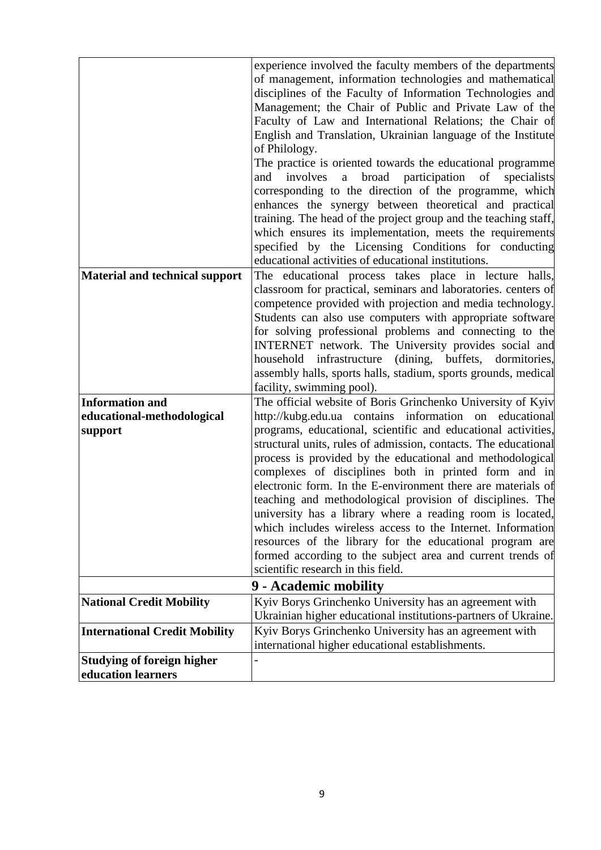|                                                                 | experience involved the faculty members of the departments<br>of management, information technologies and mathematical<br>disciplines of the Faculty of Information Technologies and<br>Management; the Chair of Public and Private Law of the<br>Faculty of Law and International Relations; the Chair of<br>English and Translation, Ukrainian language of the Institute<br>of Philology.<br>The practice is oriented towards the educational programme<br>broad participation<br>of<br>specialists<br>and<br>involves<br>a<br>corresponding to the direction of the programme, which<br>enhances the synergy between theoretical and practical                                                                                                                                                       |
|-----------------------------------------------------------------|---------------------------------------------------------------------------------------------------------------------------------------------------------------------------------------------------------------------------------------------------------------------------------------------------------------------------------------------------------------------------------------------------------------------------------------------------------------------------------------------------------------------------------------------------------------------------------------------------------------------------------------------------------------------------------------------------------------------------------------------------------------------------------------------------------|
|                                                                 | training. The head of the project group and the teaching staff,<br>which ensures its implementation, meets the requirements<br>specified by the Licensing Conditions for conducting<br>educational activities of educational institutions.                                                                                                                                                                                                                                                                                                                                                                                                                                                                                                                                                              |
| <b>Material and technical support</b>                           | The educational process takes place in lecture halls,<br>classroom for practical, seminars and laboratories. centers of<br>competence provided with projection and media technology.<br>Students can also use computers with appropriate software<br>for solving professional problems and connecting to the<br>INTERNET network. The University provides social and<br>(dining, buffets, dormitories,<br>household infrastructure<br>assembly halls, sports halls, stadium, sports grounds, medical<br>facility, swimming pool).                                                                                                                                                                                                                                                                       |
| <b>Information and</b><br>educational-methodological<br>support | The official website of Boris Grinchenko University of Kyiv<br>http://kubg.edu.ua contains information on educational<br>programs, educational, scientific and educational activities,<br>structural units, rules of admission, contacts. The educational<br>process is provided by the educational and methodological<br>complexes of disciplines both in printed form and in<br>electronic form. In the E-environment there are materials of<br>teaching and methodological provision of disciplines. The<br>university has a library where a reading room is located,<br>which includes wireless access to the Internet. Information<br>resources of the library for the educational program are<br>formed according to the subject area and current trends of<br>scientific research in this field. |
|                                                                 | 9 - Academic mobility                                                                                                                                                                                                                                                                                                                                                                                                                                                                                                                                                                                                                                                                                                                                                                                   |
| <b>National Credit Mobility</b>                                 | Kyiv Borys Grinchenko University has an agreement with                                                                                                                                                                                                                                                                                                                                                                                                                                                                                                                                                                                                                                                                                                                                                  |
| <b>International Credit Mobility</b>                            | Ukrainian higher educational institutions-partners of Ukraine.<br>Kyiv Borys Grinchenko University has an agreement with<br>international higher educational establishments.                                                                                                                                                                                                                                                                                                                                                                                                                                                                                                                                                                                                                            |
| <b>Studying of foreign higher</b><br>education learners         |                                                                                                                                                                                                                                                                                                                                                                                                                                                                                                                                                                                                                                                                                                                                                                                                         |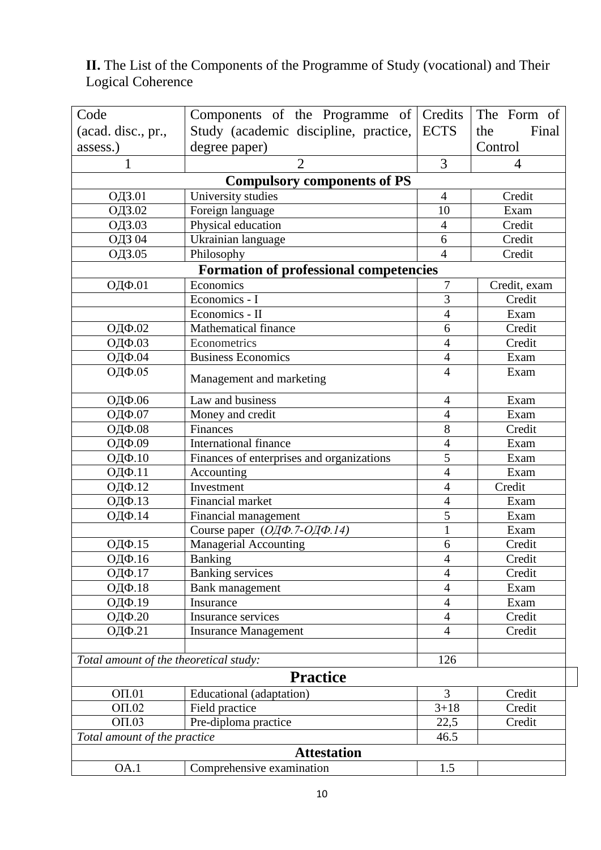#### **ІІ.** The List of the Components of the Programme of Study (vocational) and Their Logical Coherence

| Code                                   | Components of the Programme of Credits         |                        | The Form of  |  |  |  |
|----------------------------------------|------------------------------------------------|------------------------|--------------|--|--|--|
| (acad. disc., pr.,                     | Study (academic discipline, practice,          | <b>ECTS</b>            | Final<br>the |  |  |  |
| assess.)                               | degree paper)<br>Control                       |                        |              |  |  |  |
| 1                                      | 3<br>$\overline{2}$<br>$\overline{4}$          |                        |              |  |  |  |
|                                        | <b>Compulsory components of PS</b>             |                        |              |  |  |  |
| ОДЗ.01                                 | University studies<br>Credit<br>$\overline{4}$ |                        |              |  |  |  |
| ОДЗ.02                                 | Foreign language                               | 10                     | Exam         |  |  |  |
| ОДЗ.03                                 | Credit<br>Physical education<br>$\overline{4}$ |                        |              |  |  |  |
| ОДЗ 04                                 | Ukrainian language                             | 6                      | Credit       |  |  |  |
| ОДЗ.05                                 | Philosophy                                     | $\overline{4}$         | Credit       |  |  |  |
|                                        | <b>Formation of professional competencies</b>  |                        |              |  |  |  |
| ОДФ.01                                 | Economics                                      | 7                      | Credit, exam |  |  |  |
|                                        | Economics - I                                  | 3                      | Credit       |  |  |  |
|                                        | Economics - II                                 | $\overline{4}$         | Exam         |  |  |  |
| ОДФ.02                                 | <b>Mathematical finance</b>                    | 6                      | Credit       |  |  |  |
| ОДФ.03                                 | Econometrics                                   | $\overline{4}$         | Credit       |  |  |  |
| ОДФ.04                                 | <b>Business Economics</b>                      | $\overline{4}$         | Exam         |  |  |  |
| ОДФ.05                                 | Management and marketing                       | $\overline{4}$<br>Exam |              |  |  |  |
| ОДФ.06                                 | Law and business                               | $\overline{4}$         | Exam         |  |  |  |
| ОДФ.07                                 | Money and credit                               | $\overline{4}$         | Exam         |  |  |  |
| ОДФ.08                                 | Finances                                       | 8                      | Credit       |  |  |  |
| ОДФ.09                                 | <b>International finance</b>                   | $\overline{4}$         | Exam         |  |  |  |
| ОДФ.10                                 | Finances of enterprises and organizations      | 5                      | Exam         |  |  |  |
| ОДФ.11                                 | Accounting                                     | 4                      | Exam         |  |  |  |
| ОДФ.12                                 | Investment                                     | $\overline{4}$         | Credit       |  |  |  |
| ОДФ.13                                 | <b>Financial market</b>                        | 4                      | Exam         |  |  |  |
| ОДФ.14                                 | Financial management                           | 5                      | Exam         |  |  |  |
|                                        | Course paper (ОДФ. 7-ОДФ. 14)                  | $\mathbf{1}$           | Exam         |  |  |  |
| ОДФ.15                                 | Managerial Accounting                          | 6                      | Credit       |  |  |  |
| ОДФ.16                                 | Banking                                        | $\overline{4}$         | Credit       |  |  |  |
| ОДФ.17                                 | <b>Banking services</b>                        | 4                      | Credit       |  |  |  |
| ОДФ.18                                 | Bank management                                | $\overline{4}$         | Exam         |  |  |  |
| ОДФ.19                                 | Insurance                                      | $\overline{4}$         | Exam         |  |  |  |
| ОДФ.20                                 | Insurance services                             | $\overline{4}$         | Credit       |  |  |  |
| ОДФ.21                                 | <b>Insurance Management</b>                    | $\overline{4}$         | Credit       |  |  |  |
| Total amount of the theoretical study: |                                                | 126                    |              |  |  |  |
|                                        | <b>Practice</b>                                |                        |              |  |  |  |
| $O\Pi.01$                              | Educational (adaptation)                       | 3                      | Credit       |  |  |  |
| OT.02                                  | Field practice                                 | $3 + 18$               | Credit       |  |  |  |
| $O\Pi.03$                              | Pre-diploma practice                           | 22,5                   | Credit       |  |  |  |
| Total amount of the practice           | 46.5                                           |                        |              |  |  |  |
| <b>Attestation</b>                     |                                                |                        |              |  |  |  |
| OA.1                                   | Comprehensive examination                      | 1.5                    |              |  |  |  |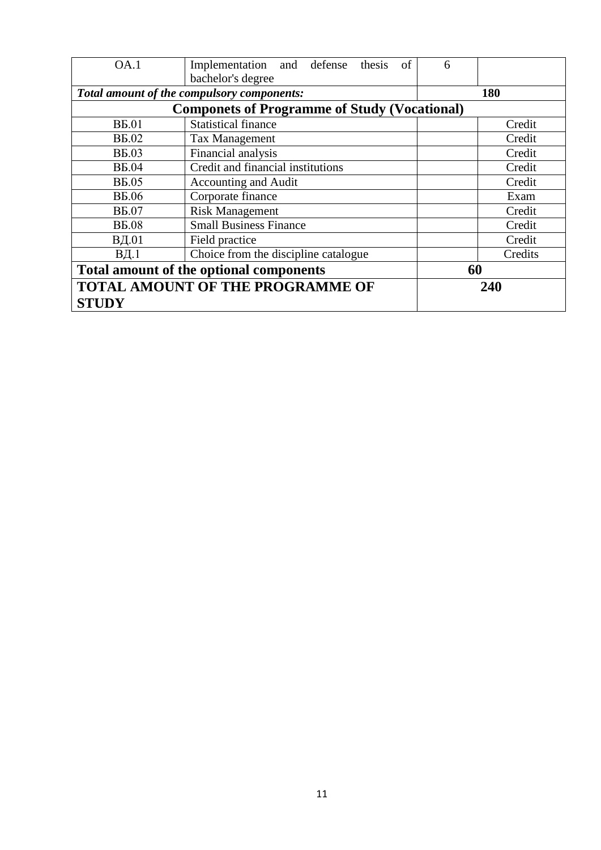| OA.1                                    | Implementation and defense<br>of<br>thesis<br>bachelor's degree | 6       |  |  |
|-----------------------------------------|-----------------------------------------------------------------|---------|--|--|
|                                         | Total amount of the compulsory components:                      | 180     |  |  |
|                                         | <b>Componets of Programme of Study (Vocational)</b>             |         |  |  |
| <b>B</b> <sub>5.01</sub>                | <b>Statistical finance</b>                                      | Credit  |  |  |
| <b>B</b> <sub>5.02</sub>                | <b>Tax Management</b>                                           | Credit  |  |  |
| <b>BE.03</b>                            | Financial analysis                                              | Credit  |  |  |
| <b>B</b> <sub>5.04</sub>                | Credit and financial institutions                               | Credit  |  |  |
| <b>B</b> <sub>5</sub> .05               | Accounting and Audit                                            | Credit  |  |  |
| <b>B</b> <sub>5.06</sub>                | Corporate finance                                               | Exam    |  |  |
| <b>B</b> <sub>5.07</sub>                | <b>Risk Management</b>                                          | Credit  |  |  |
| <b>B</b> <sub>5.08</sub>                | <b>Small Business Finance</b>                                   | Credit  |  |  |
| ВД.01                                   | Field practice                                                  | Credit  |  |  |
| $B4$ .1                                 | Choice from the discipline catalogue                            | Credits |  |  |
| Total amount of the optional components | 60                                                              |         |  |  |
| <b>TOTAL AMOUNT OF THE PROGRAMME OF</b> | 240                                                             |         |  |  |
| <b>STUDY</b>                            |                                                                 |         |  |  |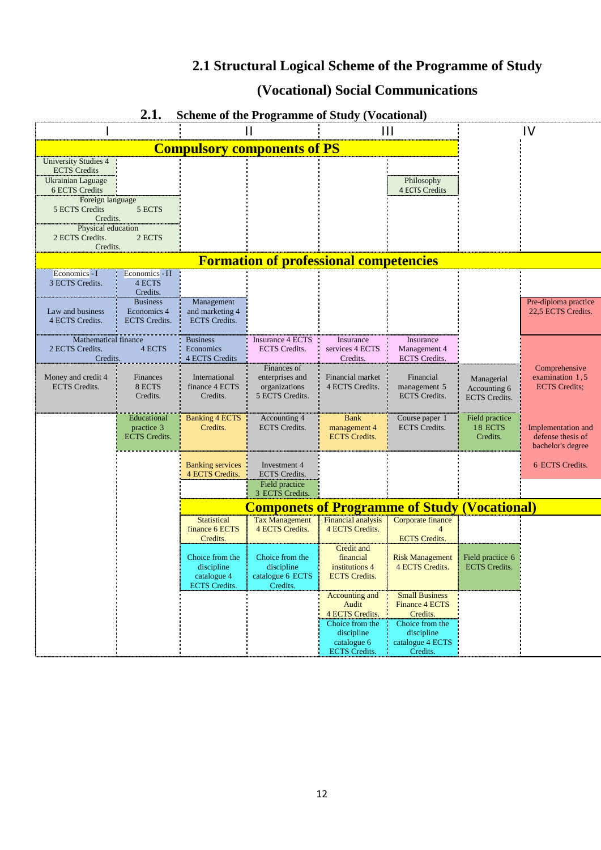# **2.1 Structural Logical Scheme of the Programme of Study**

# **(Vocational) Social Communications**

|                             | 4.l.<br>Scheme of the Programme of Study (Vocational) |                         |                                               |                           |                                                     |                      |                           |
|-----------------------------|-------------------------------------------------------|-------------------------|-----------------------------------------------|---------------------------|-----------------------------------------------------|----------------------|---------------------------|
|                             |                                                       |                         | Н                                             |                           | $\mathbf{H}$                                        |                      | IV                        |
|                             |                                                       |                         | <b>Compulsory components of PS</b>            |                           |                                                     |                      |                           |
| <b>University Studies 4</b> |                                                       |                         |                                               |                           |                                                     |                      |                           |
| <b>ECTS</b> Credits         |                                                       |                         |                                               |                           |                                                     |                      |                           |
| Ukrainian Laguage           |                                                       |                         |                                               |                           | Philosophy                                          |                      |                           |
| 6 ECTS Credits              |                                                       |                         |                                               |                           | <b>4 ECTS Credits</b>                               |                      |                           |
| Foreign language            |                                                       |                         |                                               |                           |                                                     |                      |                           |
| 5 ECTS Credits              | 5 ECTS                                                |                         |                                               |                           |                                                     |                      |                           |
| Credits.                    |                                                       |                         |                                               |                           |                                                     |                      |                           |
| Physical education          |                                                       |                         |                                               |                           |                                                     |                      |                           |
| 2 ECTS Credits.             | 2 ECTS                                                |                         |                                               |                           |                                                     |                      |                           |
| Credits.                    |                                                       |                         |                                               |                           |                                                     |                      |                           |
|                             |                                                       |                         | <b>Formation of professional competencies</b> |                           |                                                     |                      |                           |
| Economics - I               | Economics - II                                        |                         |                                               |                           |                                                     |                      |                           |
| 3 ECTS Credits.             | 4 ECTS                                                |                         |                                               |                           |                                                     |                      |                           |
|                             | Credits.                                              |                         |                                               |                           |                                                     |                      |                           |
|                             | <b>Business</b>                                       | Management              |                                               |                           |                                                     |                      | Pre-diploma practice      |
| Law and business            | Economics 4                                           | and marketing 4         |                                               |                           |                                                     |                      | 22,5 ECTS Credits.        |
| 4 ECTS Credits.             | <b>ECTS</b> Credits.                                  | <b>ECTS</b> Credits.    |                                               |                           |                                                     |                      |                           |
|                             |                                                       |                         |                                               |                           |                                                     |                      |                           |
| <b>Mathematical finance</b> |                                                       | <b>Business</b>         | Insurance 4 ECTS                              | Insurance                 | Insurance                                           |                      |                           |
| 2 ECTS Credits.             | 4 ECTS                                                | Economics               | <b>ECTS</b> Credits.                          | services 4 ECTS           | Management 4                                        |                      |                           |
| Credits.                    |                                                       | 4 ECTS Credits          |                                               | Credits.                  | <b>ECTS</b> Credits.                                |                      |                           |
|                             |                                                       |                         | Finances of                                   |                           |                                                     |                      | Comprehensive             |
| Money and credit 4          | <b>Finances</b>                                       | International           | enterprises and                               | Financial market          | Financial                                           | Managerial           | examination 1,5           |
| <b>ECTS</b> Credits.        | 8 ECTS                                                | finance 4 ECTS          | organizations                                 | 4 ECTS Credits.           | management 5                                        | Accounting 6         | <b>ECTS</b> Credits;      |
|                             | Credits.                                              | Credits.                | 5 ECTS Credits.                               |                           | <b>ECTS</b> Credits.                                | <b>ECTS</b> Credits. |                           |
|                             |                                                       |                         |                                               |                           |                                                     |                      |                           |
|                             | Educational                                           | <b>Banking 4 ECTS</b>   | Accounting 4                                  | <b>Bank</b>               | Course paper 1                                      | Field practice       |                           |
|                             | practice 3                                            | Credits.                | <b>ECTS</b> Credits.                          | management 4              | <b>ECTS</b> Credits.                                | 18 ECTS              | <b>Implementation and</b> |
|                             | <b>ECTS</b> Credits.                                  |                         |                                               | <b>ECTS</b> Credits.      |                                                     | Credits.             | defense thesis of         |
|                             |                                                       |                         |                                               |                           |                                                     |                      | bachelor's degree         |
|                             |                                                       |                         |                                               |                           |                                                     |                      |                           |
|                             |                                                       | <b>Banking services</b> | Investment 4                                  |                           |                                                     |                      | 6 ECTS Credits.           |
|                             |                                                       | 4 ECTS Credits.         | <b>ECTS</b> Credits.                          |                           |                                                     |                      |                           |
|                             |                                                       |                         | Field practice                                |                           |                                                     |                      |                           |
|                             |                                                       |                         | 3 ECTS Credits.                               |                           |                                                     |                      |                           |
|                             |                                                       |                         |                                               |                           | <b>Componets of Programme of Study (Vocational)</b> |                      |                           |
|                             |                                                       | <b>Statistical</b>      | <b>Tax Management</b>                         | <b>Financial analysis</b> | Corporate finance                                   |                      |                           |
|                             |                                                       | finance 6 ECTS          | 4 ECTS Credits.                               | 4 ECTS Credits.           |                                                     |                      |                           |
|                             |                                                       | Credits.                |                                               |                           | <b>ECTS</b> Credits.                                |                      |                           |
|                             |                                                       |                         |                                               | Credit and                |                                                     |                      |                           |
|                             |                                                       | Choice from the         | Choice from the                               | financial                 | <b>Risk Management</b>                              | Field practice 6     |                           |
|                             |                                                       | discipline              | discipline                                    | institutions 4            | 4 ECTS Credits.                                     | <b>ECTS</b> Credits. |                           |
|                             |                                                       | catalogue 4             | catalogue 6 ECTS                              | <b>ECTS</b> Credits.      |                                                     |                      |                           |
|                             |                                                       | <b>ECTS</b> Credits.    | Credits.                                      |                           |                                                     |                      |                           |
|                             |                                                       |                         |                                               | Accounting and            | <b>Small Business</b>                               |                      |                           |
|                             |                                                       |                         |                                               | Audit                     | <b>Finance 4 ECTS</b>                               |                      |                           |
|                             |                                                       |                         |                                               | 4 ECTS Credits.           | Credits.                                            |                      |                           |
|                             |                                                       |                         |                                               | Choice from the           | Choice from the                                     |                      |                           |
|                             |                                                       |                         |                                               | discipline                | discipline                                          |                      |                           |
|                             |                                                       |                         |                                               | catalogue 6               | catalogue 4 ECTS                                    |                      |                           |
|                             |                                                       |                         |                                               | <b>ECTS</b> Credits.      | Credits.                                            |                      |                           |

### **2.1. Scheme of the Programme of Study (Vocational)**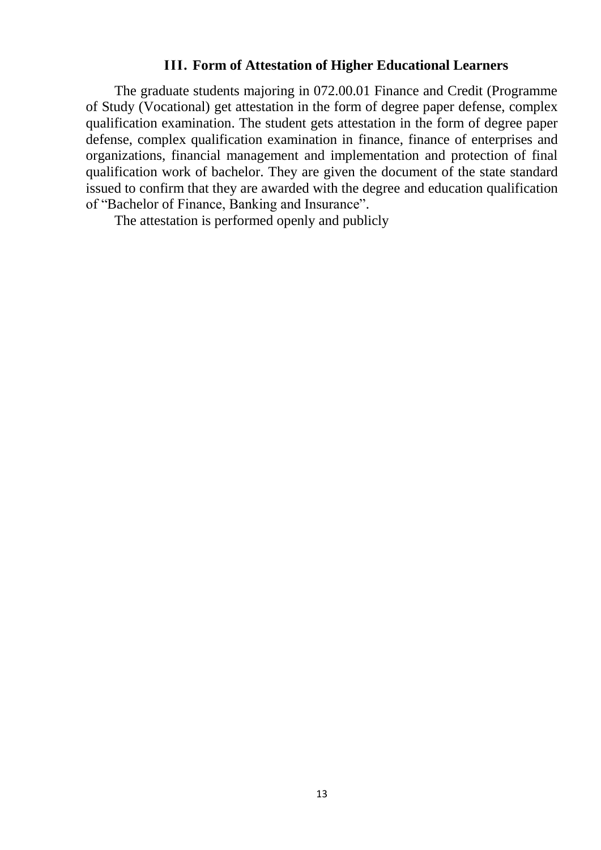#### **ІІІ. Form of Attestation of Higher Educational Learners**

The graduate students majoring in 072.00.01 Finance and Credit (Programme of Study (Vocational) get attestation in the form of degree paper defense, complex qualification examination. The student gets attestation in the form of degree paper defense, complex qualification examination in finance, finance of enterprises and organizations, financial management and implementation and protection of final qualification work of bachelor. They are given the document of the state standard issued to confirm that they are awarded with the degree and education qualification of "Bachelor of Finance, Banking and Insurance".

The attestation is performed openly and publicly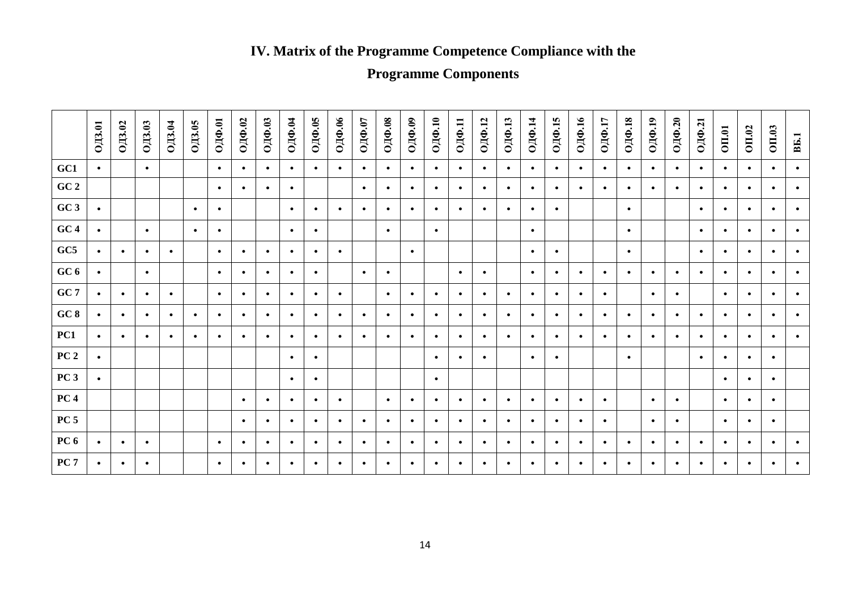# **ІV. Matrix of the Programme Competence Compliance with the**

# **Programme Components**

|                 | <b>ОДЗ.01</b> | <b>ОДЗ.02</b> | OIB.03    | ОД3.04    | <b>ОДЗ.05</b> | ОДФ.01    | ОДФ.02    | ОДФ.03    | ОДФ.04    | ОДФ.05    | ОДФ.06    | ОДФ.07    | $O/\Phi$ .08 | ОДФ.09    | ОДФ.10    | 0ДФ.11    | <b>ОДФ.12</b> | ОДФ.13    | 0ДФ.14    | ОДФ.15    | ОДФ.16    | 0ДФ.17    | 0ДФ.18    | $O[\text{I}\Phi,19]$ | ОДФ.20    | 0ДФ.21    | <b>OII.01</b> | <b>OII.02</b> | OII.03    | <b>B</b> <sub>5.1</sub> |
|-----------------|---------------|---------------|-----------|-----------|---------------|-----------|-----------|-----------|-----------|-----------|-----------|-----------|--------------|-----------|-----------|-----------|---------------|-----------|-----------|-----------|-----------|-----------|-----------|----------------------|-----------|-----------|---------------|---------------|-----------|-------------------------|
| GC1             | $\bullet$     |               | $\bullet$ |           |               | $\bullet$ | $\bullet$ | $\bullet$ | ٠         | $\bullet$ | $\bullet$ | $\bullet$ | $\bullet$    | $\bullet$ | $\bullet$ | $\bullet$ | $\bullet$     | $\bullet$ | $\bullet$ | $\bullet$ | $\bullet$ | $\bullet$ | $\bullet$ | $\bullet$            | $\bullet$ | $\bullet$ | $\bullet$     | ٠             | $\bullet$ | $\bullet$               |
| GC 2            |               |               |           |           |               | $\bullet$ | $\bullet$ | $\bullet$ | ٠         |           |           | $\bullet$ | $\bullet$    | $\bullet$ | $\bullet$ | $\bullet$ | $\bullet$     | $\bullet$ | $\bullet$ | $\bullet$ | $\bullet$ | $\bullet$ | $\bullet$ | $\bullet$            | $\bullet$ | $\bullet$ | $\bullet$     | ٠             | $\bullet$ | $\bullet$               |
| GC3             | $\bullet$     |               |           |           | $\bullet$     | $\bullet$ |           |           | $\bullet$ | $\bullet$ | $\bullet$ | $\bullet$ | $\bullet$    | $\bullet$ | $\bullet$ | $\bullet$ | $\bullet$     | $\bullet$ | $\bullet$ | $\bullet$ |           |           | $\bullet$ |                      |           | $\bullet$ | $\bullet$     | $\bullet$     | $\bullet$ | $\bullet$               |
| GC4             | $\bullet$     |               | $\bullet$ |           | $\bullet$     | $\bullet$ |           |           | $\bullet$ | $\bullet$ |           |           | $\bullet$    |           | $\bullet$ |           |               |           | $\bullet$ |           |           |           | $\bullet$ |                      |           | $\bullet$ | $\bullet$     | $\bullet$     | $\bullet$ | $\bullet$               |
| GC5             | $\bullet$     | $\bullet$     | $\bullet$ | $\bullet$ |               | $\bullet$ | $\bullet$ | $\bullet$ | ٠         | $\bullet$ | $\bullet$ |           |              | $\bullet$ |           |           |               |           | $\bullet$ | $\bullet$ |           |           | $\bullet$ |                      |           | $\bullet$ | $\bullet$     | ٠             | $\bullet$ | $\bullet$               |
| GC 6            | $\bullet$     |               | $\bullet$ |           |               | $\bullet$ | $\bullet$ | $\bullet$ | $\bullet$ | $\bullet$ |           | $\bullet$ | $\bullet$    |           |           | $\bullet$ | $\bullet$     |           | $\bullet$ | $\bullet$ | $\bullet$ | $\bullet$ | $\bullet$ | $\bullet$            | $\bullet$ | $\bullet$ | $\bullet$     | $\bullet$     | $\bullet$ | $\bullet$               |
| GC <sub>7</sub> | $\bullet$     | $\bullet$     | $\bullet$ | $\bullet$ |               | $\bullet$ | $\bullet$ | $\bullet$ | $\bullet$ | $\bullet$ | $\bullet$ |           | $\bullet$    | $\bullet$ | $\bullet$ | $\bullet$ | $\bullet$     | $\bullet$ | $\bullet$ | $\bullet$ | $\bullet$ | $\bullet$ |           | $\bullet$            | $\bullet$ |           | $\bullet$     | $\bullet$     | $\bullet$ | $\bullet$               |
| GC8             | $\bullet$     | $\bullet$     | $\bullet$ | $\bullet$ | $\bullet$     | $\bullet$ | $\bullet$ | $\bullet$ | $\bullet$ | $\bullet$ | $\bullet$ | $\bullet$ | $\bullet$    | $\bullet$ | $\bullet$ | $\bullet$ | $\bullet$     | $\bullet$ | $\bullet$ | $\bullet$ | $\bullet$ | $\bullet$ | $\bullet$ | $\bullet$            | $\bullet$ | $\bullet$ | $\bullet$     | $\bullet$     | $\bullet$ | $\bullet$               |
| PC1             | $\bullet$     | $\bullet$     | $\bullet$ | $\bullet$ | $\bullet$     | $\bullet$ | $\bullet$ | $\bullet$ |           | $\bullet$ | $\bullet$ | $\bullet$ | $\bullet$    | $\bullet$ | $\bullet$ | $\bullet$ | $\bullet$     | $\bullet$ | $\bullet$ | $\bullet$ | $\bullet$ | $\bullet$ | $\bullet$ | $\bullet$            | $\bullet$ | $\bullet$ | $\bullet$     | ٠             | $\bullet$ | $\bullet$               |
| PC <sub>2</sub> | $\bullet$     |               |           |           |               |           |           |           | $\bullet$ | $\bullet$ |           |           |              |           | $\bullet$ | $\bullet$ | $\bullet$     |           | $\bullet$ | $\bullet$ |           |           | $\bullet$ |                      |           | $\bullet$ | $\bullet$     | $\bullet$     | $\bullet$ |                         |
| PC <sub>3</sub> | $\bullet$     |               |           |           |               |           |           |           | ٠         | $\bullet$ |           |           |              |           | $\bullet$ |           |               |           |           |           |           |           |           |                      |           |           | $\bullet$     | $\bullet$     | $\bullet$ |                         |
| PC <sub>4</sub> |               |               |           |           |               |           | $\bullet$ | $\bullet$ | ٠         | $\bullet$ | $\bullet$ |           | $\bullet$    | $\bullet$ | $\bullet$ | $\bullet$ | $\bullet$     | $\bullet$ | $\bullet$ | $\bullet$ | $\bullet$ | $\bullet$ |           | $\bullet$            | $\bullet$ |           | $\bullet$     | $\bullet$     | $\bullet$ |                         |
| <b>PC 5</b>     |               |               |           |           |               |           | $\bullet$ | $\bullet$ | ٠         | $\bullet$ | $\bullet$ | $\bullet$ | $\bullet$    | $\bullet$ | $\bullet$ | $\bullet$ | $\bullet$     | $\bullet$ | $\bullet$ | $\bullet$ | $\bullet$ | $\bullet$ |           | $\bullet$            | $\bullet$ |           | $\bullet$     | $\bullet$     | $\bullet$ |                         |
| <b>PC 6</b>     | $\bullet$     | $\bullet$     | $\bullet$ |           |               | $\bullet$ | $\bullet$ | $\bullet$ | $\bullet$ | $\bullet$ | $\bullet$ | $\bullet$ | $\bullet$    | $\bullet$ | $\bullet$ | $\bullet$ | $\bullet$     | $\bullet$ | $\bullet$ | $\bullet$ | $\bullet$ | $\bullet$ | $\bullet$ | $\bullet$            | $\bullet$ | $\bullet$ | $\bullet$     | $\bullet$     | $\bullet$ | $\bullet$               |
| PC <sub>7</sub> | $\bullet$     | $\bullet$     | $\bullet$ |           |               | $\bullet$ | $\bullet$ | $\bullet$ | ٠         | $\bullet$ | $\bullet$ | $\bullet$ | $\bullet$    | $\bullet$ | $\bullet$ | $\bullet$ | $\bullet$     | $\bullet$ | $\bullet$ | $\bullet$ | $\bullet$ | $\bullet$ | $\bullet$ | $\bullet$            | $\bullet$ | $\bullet$ | $\bullet$     | $\bullet$     | $\bullet$ | $\bullet$               |